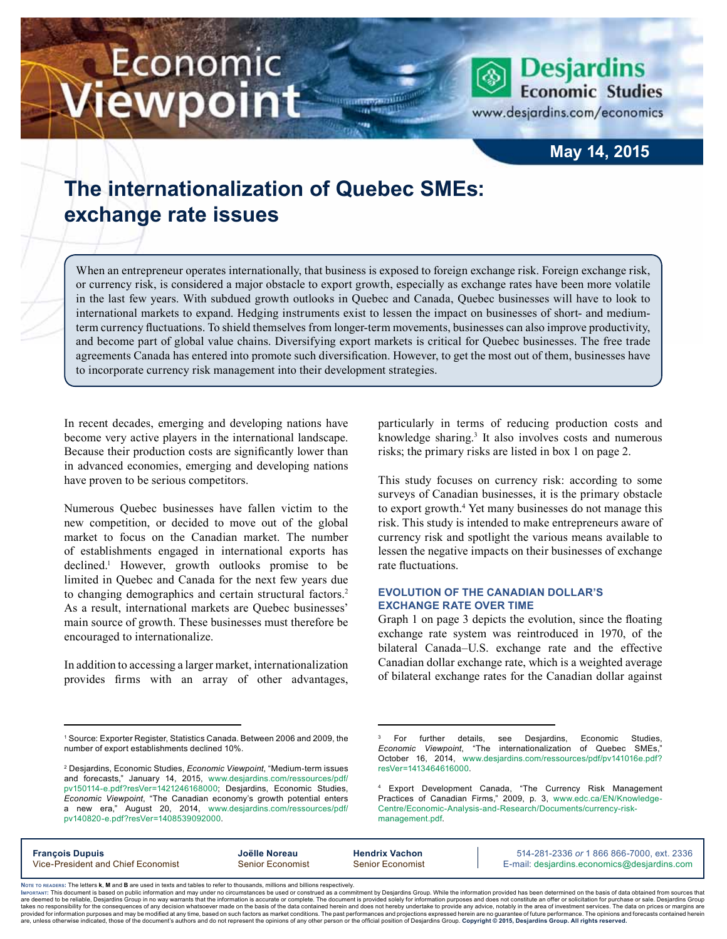# Economic iewpoint

www.desjardins.com/economics

**Desjardins Economic Studies** 

# **May 14, 2015**

# **The internationalization of Quebec SMEs: exchange rate issues**

When an entrepreneur operates internationally, that business is exposed to foreign exchange risk. Foreign exchange risk, or currency risk, is considered a major obstacle to export growth, especially as exchange rates have been more volatile in the last few years. With subdued growth outlooks in Quebec and Canada, Quebec businesses will have to look to international markets to expand. Hedging instruments exist to lessen the impact on businesses of short- and mediumterm currency fluctuations. To shield themselves from longer-term movements, businesses can also improve productivity, and become part of global value chains. Diversifying export markets is critical for Quebec businesses. The free trade agreements Canada has entered into promote such diversification. However, to get the most out of them, businesses have to incorporate currency risk management into their development strategies.

In recent decades, emerging and developing nations have become very active players in the international landscape. Because their production costs are significantly lower than in advanced economies, emerging and developing nations have proven to be serious competitors.

Numerous Quebec businesses have fallen victim to the new competition, or decided to move out of the global market to focus on the Canadian market. The number of establishments engaged in international exports has declined.1 However, growth outlooks promise to be limited in Quebec and Canada for the next few years due to changing demographics and certain structural factors.<sup>2</sup> As a result, international markets are Quebec businesses' main source of growth. These businesses must therefore be encouraged to internationalize.

In addition to accessing a larger market, internationalization provides firms with an array of other advantages, particularly in terms of reducing production costs and knowledge sharing.<sup>3</sup> It also involves costs and numerous risks; the primary risks are listed in box 1 on page 2.

This study focuses on currency risk: according to some surveys of Canadian businesses, it is the primary obstacle to export growth.<sup>4</sup> Yet many businesses do not manage this risk. This study is intended to make entrepreneurs aware of currency risk and spotlight the various means available to lessen the negative impacts on their businesses of exchange rate fluctuations.

#### **Evolution of the Canadian dollar's exchange rate over time**

Graph 1 on page 3 depicts the evolution, since the floating exchange rate system was reintroduced in 1970, of the bilateral Canada–U.S. exchange rate and the effective Canadian dollar exchange rate, which is a weighted average of bilateral exchange rates for the Canadian dollar against

<sup>4</sup> Export Development Canada, "The Currency Risk Management Practices of Canadian Firms," 2009, p. 3, [www.edc.ca/EN/Knowledge-](http://www.edc.ca/EN/Knowledge-Centre/Economic-Analysis-and-Research/Documents/currency-risk-management.pdf)[Centre/Economic-Analysis-and-Research/Documents/currency-risk](http://www.edc.ca/EN/Knowledge-Centre/Economic-Analysis-and-Research/Documents/currency-risk-management.pdf)[management.pdf](http://www.edc.ca/EN/Knowledge-Centre/Economic-Analysis-and-Research/Documents/currency-risk-management.pdf).

| <b>François Dupuis</b>             | Joëlle Noreau    | <b>Hendrix Vachon</b>   | 514-281-2336 or 1 866 866-7000, ext. 2336   |
|------------------------------------|------------------|-------------------------|---------------------------------------------|
| Vice-President and Chief Economist | Senior Economist | <b>Senior Economist</b> | E-mail: desjardins.economics@desjardins.com |
|                                    |                  |                         |                                             |

Noте то келоекs: The letters **k, M** and **B** are used in texts and tables to refer to thousands, millions and billions respectively.<br>Імроктлит: This document is based on public information and may under no circumstances be are deemed to be reliable. Desiardins Group in no way warrants that the information is accurate or complete. The document is provided solely for information purposes and does not constitute an offer or solicitation for pur takes no responsibility for the consequences of any decision whatsoever made on the basis of the data contained herein and does not hereby undertake to provide any advice, notably in the area of investment services. The da .<br>are, unless otherwise indicated, those of the document's authors and do not represent the opinions of any other person or the official position of Desjardins Group. Copyright © 2015, Desjardins Group. All rights reserved

<sup>1</sup> Source: Exporter Register, Statistics Canada. Between 2006 and 2009, the number of export establishments declined 10%.

<sup>2</sup> Desjardins, Economic Studies, *Economic Viewpoint*, "Medium-term issues and forecasts," January 14, 2015, [www.desjardins.com/ressources/pdf/](http://www.desjardins.com/ressources/pdf/pv150114-e.pdf?resVer=1421246168000) [pv150114-e.pdf?resVer=1421246168000](http://www.desjardins.com/ressources/pdf/pv150114-e.pdf?resVer=1421246168000); Desjardins, Economic Studies, *Economic Viewpoint*, "The Canadian economy's growth potential enters a new era," August 20, 2014, [www.desjardins.com/ressources/pdf/](http://www.desjardins.com/ressources/pdf/pv150114-e.pdf?resVer=1421246168000) [pv140820-e.pdf?resVer=1408539092000](http://www.desjardins.com/ressources/pdf/pv150114-e.pdf?resVer=1421246168000).

<sup>3</sup> For further details, see Desjardins, Economic Studies, *Economic Viewpoint*, "The internationalization of Quebec SMEs," October 16, 2014, [www.desjardins.com/ressources/pdf/pv141016e.pdf?](http://www.desjardins.com/ressources/pdf/pv141016e.pdf?resVer=1413464616000)  [resVer=1413464616000](http://www.desjardins.com/ressources/pdf/pv141016e.pdf?resVer=1413464616000).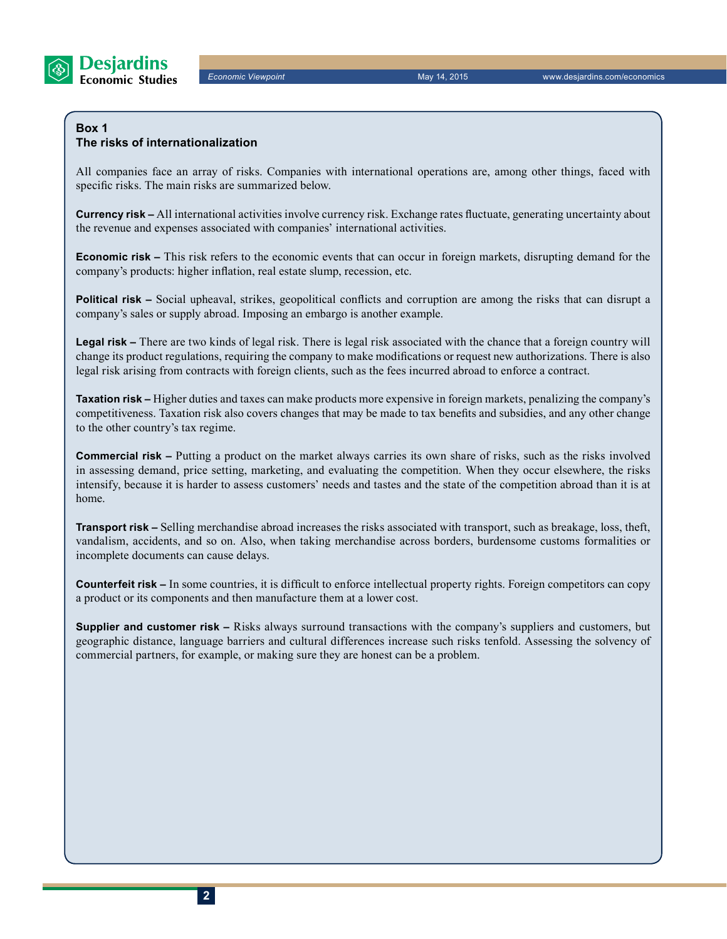

#### **Box 1 The risks of internationalization**

All companies face an array of risks. Companies with international operations are, among other things, faced with specific risks. The main risks are summarized below.

**Currency risk –** All international activities involve currency risk. Exchange rates fluctuate, generating uncertainty about the revenue and expenses associated with companies' international activities.

**Economic risk –** This risk refers to the economic events that can occur in foreign markets, disrupting demand for the company's products: higher inflation, real estate slump, recession, etc.

**Political risk –** Social upheaval, strikes, geopolitical conflicts and corruption are among the risks that can disrupt a company's sales or supply abroad. Imposing an embargo is another example.

**Legal risk –** There are two kinds of legal risk. There is legal risk associated with the chance that a foreign country will change its product regulations, requiring the company to make modifications or request new authorizations. There is also legal risk arising from contracts with foreign clients, such as the fees incurred abroad to enforce a contract.

**Taxation risk –** Higher duties and taxes can make products more expensive in foreign markets, penalizing the company's competitiveness. Taxation risk also covers changes that may be made to tax benefits and subsidies, and any other change to the other country's tax regime.

**Commercial risk –** Putting a product on the market always carries its own share of risks, such as the risks involved in assessing demand, price setting, marketing, and evaluating the competition. When they occur elsewhere, the risks intensify, because it is harder to assess customers' needs and tastes and the state of the competition abroad than it is at home.

**Transport risk –** Selling merchandise abroad increases the risks associated with transport, such as breakage, loss, theft, vandalism, accidents, and so on. Also, when taking merchandise across borders, burdensome customs formalities or incomplete documents can cause delays.

**Counterfeit risk –** In some countries, it is difficult to enforce intellectual property rights. Foreign competitors can copy a product or its components and then manufacture them at a lower cost.

**Supplier and customer risk –** Risks always surround transactions with the company's suppliers and customers, but geographic distance, language barriers and cultural differences increase such risks tenfold. Assessing the solvency of commercial partners, for example, or making sure they are honest can be a problem.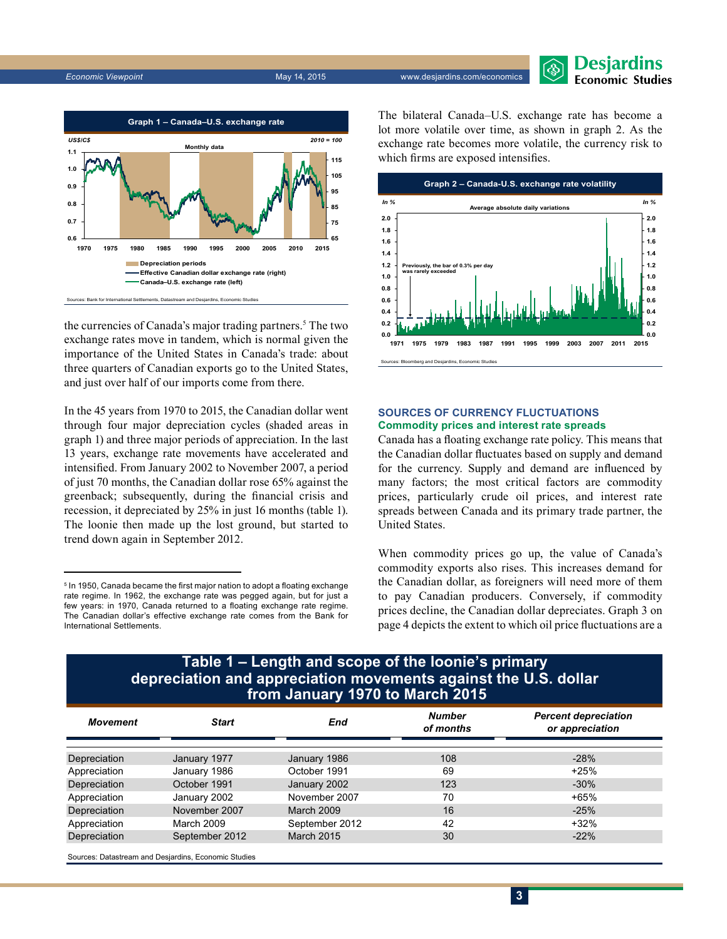



the currencies of Canada's major trading partners.<sup>5</sup> The two exchange rates move in tandem, which is normal given the importance of the United States in Canada's trade: about three quarters of Canadian exports go to the United States, and just over half of our imports come from there.

In the 45 years from 1970 to 2015, the Canadian dollar went through four major depreciation cycles (shaded areas in graph 1) and three major periods of appreciation. In the last 13 years, exchange rate movements have accelerated and intensified. From January 2002 to November 2007, a period of just 70 months, the Canadian dollar rose 65% against the greenback; subsequently, during the financial crisis and recession, it depreciated by 25% in just 16 months (table 1). The loonie then made up the lost ground, but started to trend down again in September 2012.

The bilateral Canada–U.S. exchange rate has become a lot more volatile over time, as shown in graph 2. As the exchange rate becomes more volatile, the currency risk to which firms are exposed intensifies.



#### **Sources of currency fluctuations Commodity prices and interest rate spreads**

Canada has a floating exchange rate policy. This means that the Canadian dollar fluctuates based on supply and demand for the currency. Supply and demand are influenced by many factors; the most critical factors are commodity prices, particularly crude oil prices, and interest rate spreads between Canada and its primary trade partner, the United States.

When commodity prices go up, the value of Canada's commodity exports also rises. This increases demand for the Canadian dollar, as foreigners will need more of them to pay Canadian producers. Conversely, if commodity prices decline, the Canadian dollar depreciates. Graph 3 on page 4 depicts the extent to which oil price fluctuations are a

## **Table 1 – Length and scope of the loonie's primary from January 1970 to March 2015 depreciation and appreciation movements against the U.S. dollar**

| Movement     | Start          | End               | <b>Number</b><br>of months | <b>Percent depreciation</b><br>or appreciation |
|--------------|----------------|-------------------|----------------------------|------------------------------------------------|
| Depreciation | January 1977   | January 1986      | 108                        | $-28%$                                         |
| Appreciation | January 1986   | October 1991      | 69                         | $+25%$                                         |
| Depreciation | October 1991   | January 2002      | 123                        | $-30%$                                         |
| Appreciation | January 2002   | November 2007     | 70                         | $+65%$                                         |
| Depreciation | November 2007  | March 2009        | 16                         | $-25%$                                         |
| Appreciation | March 2009     | September 2012    | 42                         | $+32%$                                         |
| Depreciation | September 2012 | <b>March 2015</b> | 30                         | $-22%$                                         |

Sources: Datastream and Desjardins, Economic Studies

<sup>&</sup>lt;sup>5</sup> In 1950, Canada became the first major nation to adopt a floating exchange rate regime. In 1962, the exchange rate was pegged again, but for just a few years: in 1970, Canada returned to a floating exchange rate regime. The Canadian dollar's effective exchange rate comes from the Bank for International Settlements.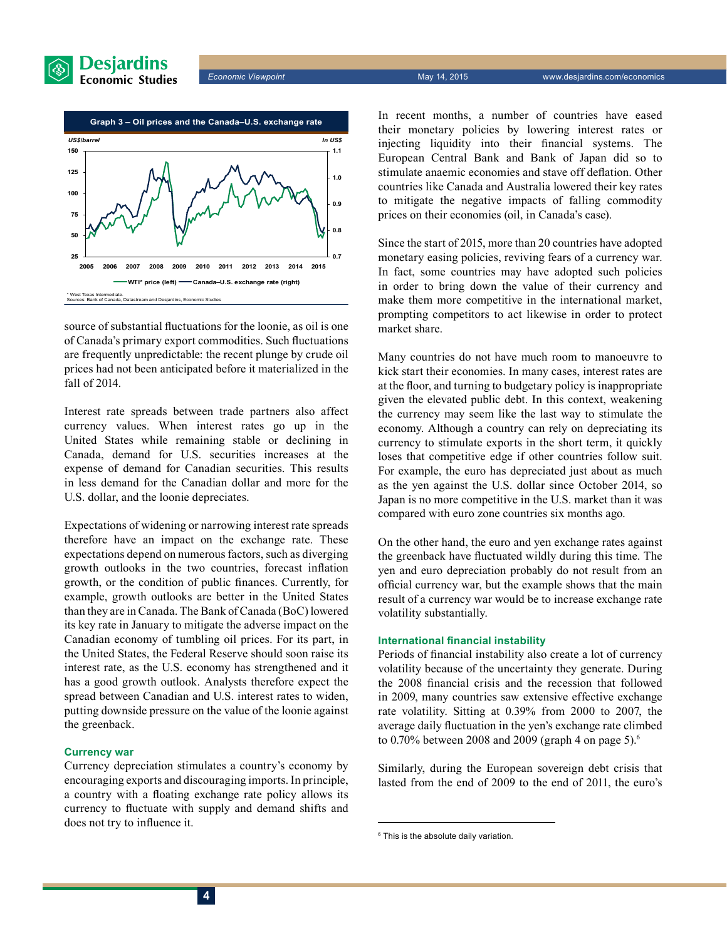

*Economic Viewpoint* May 14, 2015 www.desjardins.com/economics



source of substantial fluctuations for the loonie, as oil is one of Canada's primary export commodities. Such fluctuations are frequently unpredictable: the recent plunge by crude oil prices had not been anticipated before it materialized in the fall of 2014.

Interest rate spreads between trade partners also affect currency values. When interest rates go up in the United States while remaining stable or declining in Canada, demand for U.S. securities increases at the expense of demand for Canadian securities. This results in less demand for the Canadian dollar and more for the U.S. dollar, and the loonie depreciates.

Expectations of widening or narrowing interest rate spreads therefore have an impact on the exchange rate. These expectations depend on numerous factors, such as diverging growth outlooks in the two countries, forecast inflation growth, or the condition of public finances. Currently, for example, growth outlooks are better in the United States than they are in Canada. The Bank of Canada (BoC) lowered its key rate in January to mitigate the adverse impact on the Canadian economy of tumbling oil prices. For its part, in the United States, the Federal Reserve should soon raise its interest rate, as the U.S. economy has strengthened and it has a good growth outlook. Analysts therefore expect the spread between Canadian and U.S. interest rates to widen, putting downside pressure on the value of the loonie against the greenback.

#### **Currency war**

Currency depreciation stimulates a country's economy by encouraging exports and discouraging imports. In principle, a country with a floating exchange rate policy allows its currency to fluctuate with supply and demand shifts and does not try to influence it.

In recent months, a number of countries have eased their monetary policies by lowering interest rates or injecting liquidity into their financial systems. The European Central Bank and Bank of Japan did so to stimulate anaemic economies and stave off deflation. Other countries like Canada and Australia lowered their key rates to mitigate the negative impacts of falling commodity prices on their economies (oil, in Canada's case).

Since the start of 2015, more than 20 countries have adopted monetary easing policies, reviving fears of a currency war. In fact, some countries may have adopted such policies in order to bring down the value of their currency and make them more competitive in the international market, prompting competitors to act likewise in order to protect market share.

Many countries do not have much room to manoeuvre to kick start their economies. In many cases, interest rates are at the floor, and turning to budgetary policy is inappropriate given the elevated public debt. In this context, weakening the currency may seem like the last way to stimulate the economy. Although a country can rely on depreciating its currency to stimulate exports in the short term, it quickly loses that competitive edge if other countries follow suit. For example, the euro has depreciated just about as much as the yen against the U.S. dollar since October 2014, so Japan is no more competitive in the U.S. market than it was compared with euro zone countries six months ago.

On the other hand, the euro and yen exchange rates against the greenback have fluctuated wildly during this time. The yen and euro depreciation probably do not result from an official currency war, but the example shows that the main result of a currency war would be to increase exchange rate volatility substantially.

#### **International financial instability**

Periods of financial instability also create a lot of currency volatility because of the uncertainty they generate. During the 2008 financial crisis and the recession that followed in 2009, many countries saw extensive effective exchange rate volatility. Sitting at 0.39% from 2000 to 2007, the average daily fluctuation in the yen's exchange rate climbed to  $0.70\%$  between 2008 and 2009 (graph 4 on page 5).<sup>6</sup>

Similarly, during the European sovereign debt crisis that lasted from the end of 2009 to the end of 2011, the euro's

<sup>6</sup> This is the absolute daily variation.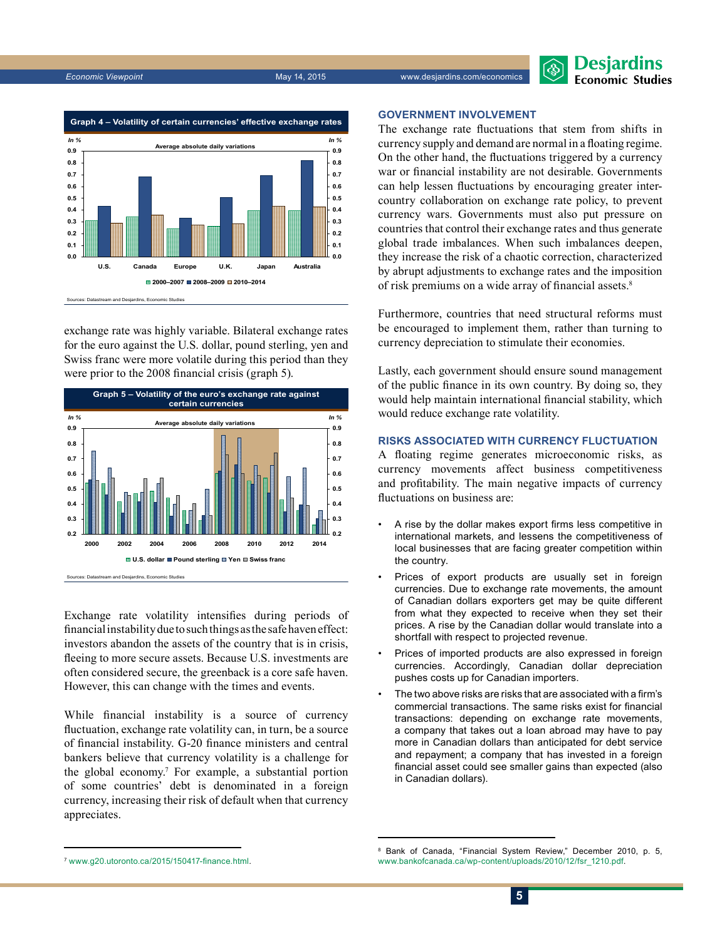



exchange rate was highly variable. Bilateral exchange rates for the euro against the U.S. dollar, pound sterling, yen and Swiss franc were more volatile during this period than they were prior to the 2008 financial crisis (graph 5).



Exchange rate volatility intensifies during periods of financial instability due to such things as the safe haven effect: investors abandon the assets of the country that is in crisis, fleeing to more secure assets. Because U.S. investments are often considered secure, the greenback is a core safe haven. However, this can change with the times and events.

While financial instability is a source of currency fluctuation, exchange rate volatility can, in turn, be a source of financial instability. G‑20 finance ministers and central bankers believe that currency volatility is a challenge for the global economy.<sup>7</sup> For example, a substantial portion of some countries' debt is denominated in a foreign currency, increasing their risk of default when that currency appreciates.

#### **Government involvement**

The exchange rate fluctuations that stem from shifts in currency supply and demand are normal in a floating regime. On the other hand, the fluctuations triggered by a currency war or financial instability are not desirable. Governments can help lessen fluctuations by encouraging greater intercountry collaboration on exchange rate policy, to prevent currency wars. Governments must also put pressure on countries that control their exchange rates and thus generate global trade imbalances. When such imbalances deepen, they increase the risk of a chaotic correction, characterized by abrupt adjustments to exchange rates and the imposition of risk premiums on a wide array of financial assets.<sup>8</sup>

Furthermore, countries that need structural reforms must be encouraged to implement them, rather than turning to currency depreciation to stimulate their economies.

Lastly, each government should ensure sound management of the public finance in its own country. By doing so, they would help maintain international financial stability, which would reduce exchange rate volatility.

#### **Risks associated with currency fluctuation**

A floating regime generates microeconomic risks, as currency movements affect business competitiveness and profitability. The main negative impacts of currency fluctuations on business are:

- A rise by the dollar makes export firms less competitive in international markets, and lessens the competitiveness of local businesses that are facing greater competition within the country.
- Prices of export products are usually set in foreign currencies. Due to exchange rate movements, the amount of Canadian dollars exporters get may be quite different from what they expected to receive when they set their prices. A rise by the Canadian dollar would translate into a shortfall with respect to projected revenue.
- Prices of imported products are also expressed in foreign currencies. Accordingly, Canadian dollar depreciation pushes costs up for Canadian importers.
- The two above risks are risks that are associated with a firm's commercial transactions. The same risks exist for financial transactions: depending on exchange rate movements, a company that takes out a loan abroad may have to pay more in Canadian dollars than anticipated for debt service and repayment; a company that has invested in a foreign financial asset could see smaller gains than expected (also in Canadian dollars).

<sup>7</sup> [www.g20.utoronto.ca/2015/150417-finance.html](http://www.g20.utoronto.ca/2015/150417-finance.html).

<sup>8</sup> Bank of Canada, "Financial System Review," December 2010, p. 5, [www.bankofcanada.ca/wp-content/uploads/2010/12/fsr\\_1210.pdf](http://www.bankofcanada.ca/wp-content/uploads/2010/12/fsr_1210.pdf).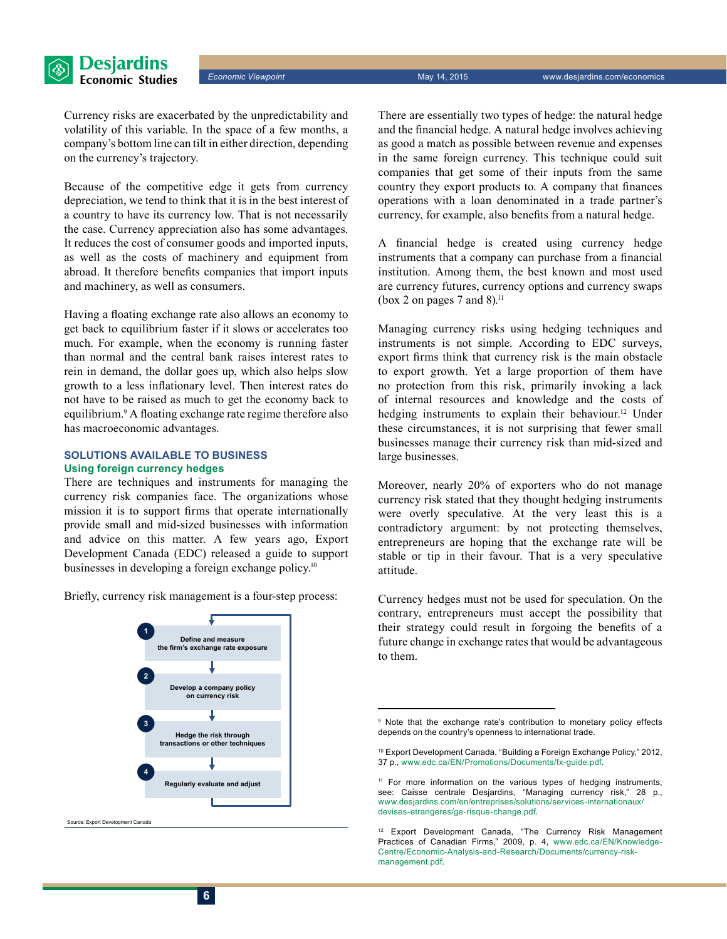Currency risks are exacerbated by the unpredictability and volatility of this variable. In the space of a few months, a company's bottom line can tilt in either direction, depending on the currency's trajectory.

Because of the competitive edge it gets from currency depreciation, we tend to think that it is in the best interest of a country to have its currency low. That is not necessarily the case. Currency appreciation also has some advantages. It reduces the cost of consumer goods and imported inputs, as well as the costs of machinery and equipment from abroad. It therefore benefits companies that import inputs and machinery, as well as consumers.

Having a floating exchange rate also allows an economy to get back to equilibrium faster if it slows or accelerates too much. For example, when the economy is running faster than normal and the central bank raises interest rates to rein in demand, the dollar goes up, which also helps slow growth to a less inflationary level. Then interest rates do not have to be raised as much to get the economy back to equilibrium.<sup>9</sup> A floating exchange rate regime therefore also has macroeconomic advantages.

#### **Solutions available to business Using foreign currency hedges**

There are techniques and instruments for managing the currency risk companies face. The organizations whose mission it is to support firms that operate internationally provide small and mid-sized businesses with information and advice on this matter. A few years ago, Export Development Canada (EDC) released a guide to support businesses in developing a foreign exchange policy.<sup>10</sup>

Briefly, currency risk management is a four-step process:



rce: Export Development Canada

There are essentially two types of hedge: the natural hedge and the financial hedge. A natural hedge involves achieving as good a match as possible between revenue and expenses in the same foreign currency. This technique could suit companies that get some of their inputs from the same country they export products to. A company that finances operations with a loan denominated in a trade partner's currency, for example, also benefits from a natural hedge.

**Economic Viewpoint** May 14, 2015 www.desjardins.com/economics

A financial hedge is created using currency hedge instruments that a company can purchase from a financial institution. Among them, the best known and most used are currency futures, currency options and currency swaps (box 2 on pages 7 and 8).<sup>11</sup>

Managing currency risks using hedging techniques and instruments is not simple. According to EDC surveys, export firms think that currency risk is the main obstacle to export growth. Yet a large proportion of them have no protection from this risk, primarily invoking a lack of internal resources and knowledge and the costs of hedging instruments to explain their behaviour.<sup>12</sup> Under these circumstances, it is not surprising that fewer small businesses manage their currency risk than mid-sized and large businesses.

Moreover, nearly 20% of exporters who do not manage currency risk stated that they thought hedging instruments were overly speculative. At the very least this is a contradictory argument: by not protecting themselves, entrepreneurs are hoping that the exchange rate will be stable or tip in their favour. That is a very speculative attitude.

Currency hedges must not be used for speculation. On the contrary, entrepreneurs must accept the possibility that their strategy could result in forgoing the benefits of a future change in exchange rates that would be advantageous to them.

<sup>&</sup>lt;sup>9</sup> Note that the exchange rate's contribution to monetary policy effects depends on the country's openness to international trade.

<sup>10</sup> Export Development Canada, "Building a Foreign Exchange Policy," 2012, 37 p., [www.edc.ca/EN/Promotions/Documents/fx-guide.pdf.](http://www.edc.ca/EN/Promotions/Documents/fx-guide.pdf)

<sup>&</sup>lt;sup>11</sup> For more information on the various types of hedging instruments, see: Caisse centrale Desjardins, "Managing currency risk," 28 p., [www.desjardins.com/en/entreprises/solutions/services-internationaux/](http://www.desjardins.com/en/entreprises/solutions/services-internationaux/devises-etrangeres/ge-risque-change.pdf) [devises-etrangeres/ge-risque-change.pdf](http://www.desjardins.com/en/entreprises/solutions/services-internationaux/devises-etrangeres/ge-risque-change.pdf).

<sup>12</sup> Export Development Canada, "The Currency Risk Management Practices of Canadian Firms," 2009, p. 4, [www.edc.ca/EN/Knowledge-](http://www.edc.ca/EN/Knowledge-Centre/Economic-Analysis-and-Research/Documents/currency-risk-management.pdf)[Centre/Economic-Analysis-and-Research/Documents/currency-risk](http://www.edc.ca/EN/Knowledge-Centre/Economic-Analysis-and-Research/Documents/currency-risk-management.pdf)[management.pdf](http://www.edc.ca/EN/Knowledge-Centre/Economic-Analysis-and-Research/Documents/currency-risk-management.pdf).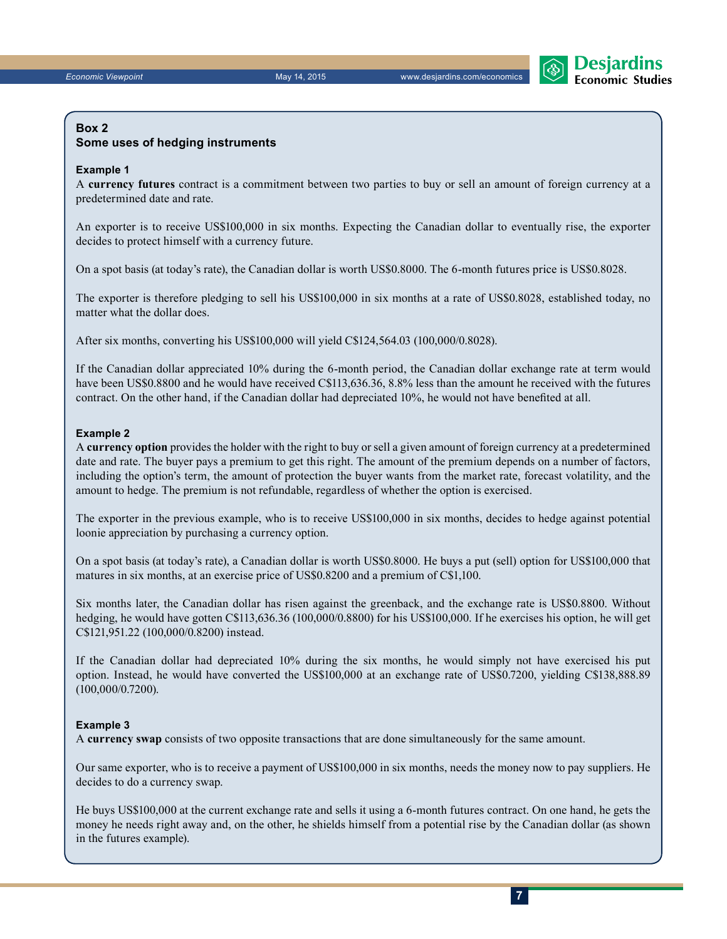

#### **Box 2**

#### **Some uses of hedging instruments**

#### **Example 1**

A **currency futures** contract is a commitment between two parties to buy or sell an amount of foreign currency at a predetermined date and rate.

An exporter is to receive US\$100,000 in six months. Expecting the Canadian dollar to eventually rise, the exporter decides to protect himself with a currency future.

On a spot basis (at today's rate), the Canadian dollar is worth US\$0.8000. The 6-month futures price is US\$0.8028.

The exporter is therefore pledging to sell his US\$100,000 in six months at a rate of US\$0.8028, established today, no matter what the dollar does.

After six months, converting his US\$100,000 will yield C\$124,564.03 (100,000/0.8028).

If the Canadian dollar appreciated 10% during the 6‑month period, the Canadian dollar exchange rate at term would have been US\$0.8800 and he would have received C\$113,636.36, 8.8% less than the amount he received with the futures contract. On the other hand, if the Canadian dollar had depreciated 10%, he would not have benefited at all.

#### **Example 2**

A **currency option** provides the holder with the right to buy or sell a given amount of foreign currency at a predetermined date and rate. The buyer pays a premium to get this right. The amount of the premium depends on a number of factors, including the option's term, the amount of protection the buyer wants from the market rate, forecast volatility, and the amount to hedge. The premium is not refundable, regardless of whether the option is exercised.

The exporter in the previous example, who is to receive US\$100,000 in six months, decides to hedge against potential loonie appreciation by purchasing a currency option.

On a spot basis (at today's rate), a Canadian dollar is worth US\$0.8000. He buys a put (sell) option for US\$100,000 that matures in six months, at an exercise price of US\$0.8200 and a premium of C\$1,100.

Six months later, the Canadian dollar has risen against the greenback, and the exchange rate is US\$0.8800. Without hedging, he would have gotten C\$113,636.36 (100,000/0.8800) for his US\$100,000. If he exercises his option, he will get C\$121,951.22 (100,000/0.8200) instead.

If the Canadian dollar had depreciated 10% during the six months, he would simply not have exercised his put option. Instead, he would have converted the US\$100,000 at an exchange rate of US\$0.7200, yielding C\$138,888.89 (100,000/0.7200).

#### **Example 3**

A **currency swap** consists of two opposite transactions that are done simultaneously for the same amount.

Our same exporter, who is to receive a payment of US\$100,000 in six months, needs the money now to pay suppliers. He decides to do a currency swap.

He buys US\$100,000 at the current exchange rate and sells it using a 6‑month futures contract. On one hand, he gets the money he needs right away and, on the other, he shields himself from a potential rise by the Canadian dollar (as shown in the futures example).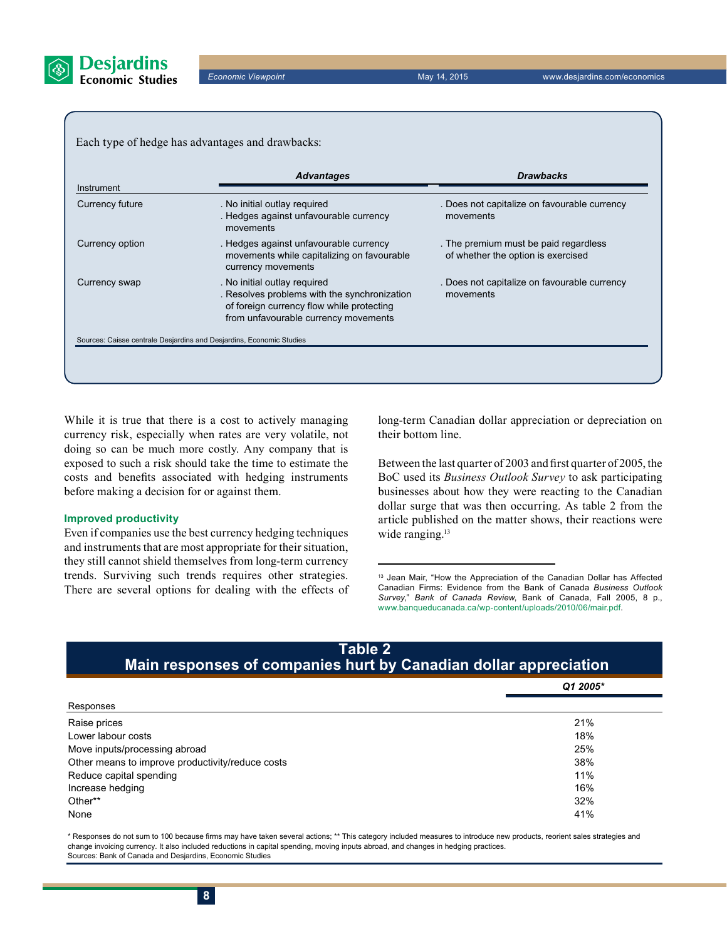

Each type of hedge has advantages and drawbacks:

| Instrument      | <b>Advantages</b>                                                                                                                                                 | <b>Drawbacks</b><br>. Does not capitalize on favourable currency<br>movements<br>. The premium must be paid regardless<br>of whether the option is exercised |  |
|-----------------|-------------------------------------------------------------------------------------------------------------------------------------------------------------------|--------------------------------------------------------------------------------------------------------------------------------------------------------------|--|
| Currency future | . No initial outlay required<br>. Hedges against unfavourable currency<br>movements                                                                               |                                                                                                                                                              |  |
| Currency option | . Hedges against unfavourable currency<br>movements while capitalizing on favourable<br>currency movements                                                        |                                                                                                                                                              |  |
| Currency swap   | . No initial outlay required<br>. Resolves problems with the synchronization<br>of foreign currency flow while protecting<br>from unfavourable currency movements | . Does not capitalize on favourable currency<br>movements                                                                                                    |  |

While it is true that there is a cost to actively managing currency risk, especially when rates are very volatile, not doing so can be much more costly. Any company that is exposed to such a risk should take the time to estimate the costs and benefits associated with hedging instruments before making a decision for or against them.

#### **Improved productivity**

Even if companies use the best currency hedging techniques and instruments that are most appropriate for their situation, they still cannot shield themselves from long-term currency trends. Surviving such trends requires other strategies. There are several options for dealing with the effects of long-term Canadian dollar appreciation or depreciation on their bottom line.

Between the last quarter of 2003 and first quarter of 2005, the BoC used its *Business Outlook Survey* to ask participating businesses about how they were reacting to the Canadian dollar surge that was then occurring. As table 2 from the article published on the matter shows, their reactions were wide ranging.<sup>13</sup>

<sup>13</sup> Jean Mair, "How the Appreciation of the Canadian Dollar has Affected Canadian Firms: Evidence from the Bank of Canada *Business Outlook Survey*," *Bank of Canada Review*, Bank of Canada, Fall 2005, 8 p., [www.banqueducanada.ca/wp-content/uploads/2010/06/mair.pdf.](http://www.banqueducanada.ca/wp-content/uploads/2010/06/mair.pdf)

| <b>Table 2</b><br>Main responses of companies hurt by Canadian dollar appreciation |  |  |  |  |
|------------------------------------------------------------------------------------|--|--|--|--|
| Q1 2005*                                                                           |  |  |  |  |
|                                                                                    |  |  |  |  |
| 21%                                                                                |  |  |  |  |
| 18%                                                                                |  |  |  |  |
| 25%                                                                                |  |  |  |  |
| 38%                                                                                |  |  |  |  |
| 11%                                                                                |  |  |  |  |
| 16%                                                                                |  |  |  |  |
| 32%                                                                                |  |  |  |  |
| 41%                                                                                |  |  |  |  |
|                                                                                    |  |  |  |  |

\* Responses do not sum to 100 because firms may have taken several actions; \*\* This category included measures to introduce new products, reorient sales strategies and change invoicing currency. It also included reductions in capital spending, moving inputs abroad, and changes in hedging practices. Sources: Bank of Canada and Desjardins, Economic Studies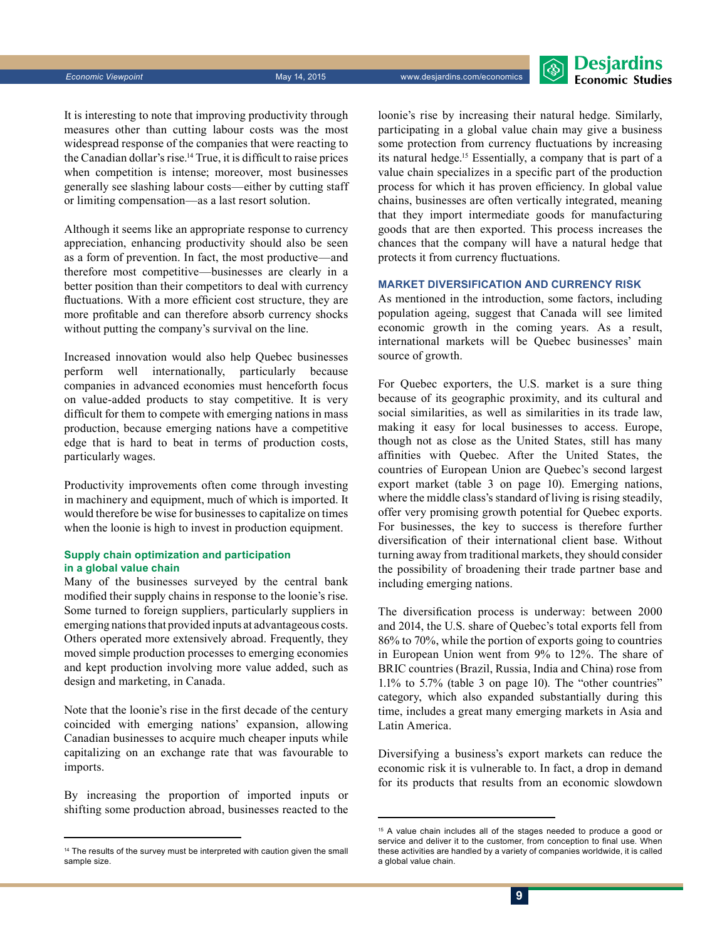**Desjardins Fronomic Studies** 

It is interesting to note that improving productivity through measures other than cutting labour costs was the most widespread response of the companies that were reacting to the Canadian dollar's rise.14 True, it is difficult to raise prices when competition is intense; moreover, most businesses generally see slashing labour costs—either by cutting staff or limiting compensation—as a last resort solution.

Although it seems like an appropriate response to currency appreciation, enhancing productivity should also be seen as a form of prevention. In fact, the most productive—and therefore most competitive—businesses are clearly in a better position than their competitors to deal with currency fluctuations. With a more efficient cost structure, they are more profitable and can therefore absorb currency shocks without putting the company's survival on the line.

Increased innovation would also help Quebec businesses perform well internationally, particularly because companies in advanced economies must henceforth focus on value-added products to stay competitive. It is very difficult for them to compete with emerging nations in mass production, because emerging nations have a competitive edge that is hard to beat in terms of production costs, particularly wages.

Productivity improvements often come through investing in machinery and equipment, much of which is imported. It would therefore be wise for businesses to capitalize on times when the loonie is high to invest in production equipment.

#### **Supply chain optimization and participation in a global value chain**

Many of the businesses surveyed by the central bank modified their supply chains in response to the loonie's rise. Some turned to foreign suppliers, particularly suppliers in emerging nations that provided inputs at advantageous costs. Others operated more extensively abroad. Frequently, they moved simple production processes to emerging economies and kept production involving more value added, such as design and marketing, in Canada.

Note that the loonie's rise in the first decade of the century coincided with emerging nations' expansion, allowing Canadian businesses to acquire much cheaper inputs while capitalizing on an exchange rate that was favourable to imports.

By increasing the proportion of imported inputs or shifting some production abroad, businesses reacted to the

loonie's rise by increasing their natural hedge. Similarly, participating in a global value chain may give a business some protection from currency fluctuations by increasing its natural hedge.15 Essentially, a company that is part of a value chain specializes in a specific part of the production process for which it has proven efficiency. In global value chains, businesses are often vertically integrated, meaning that they import intermediate goods for manufacturing goods that are then exported. This process increases the chances that the company will have a natural hedge that protects it from currency fluctuations.

#### **Market diversification and currency risk**

As mentioned in the introduction, some factors, including population ageing, suggest that Canada will see limited economic growth in the coming years. As a result, international markets will be Quebec businesses' main source of growth.

For Quebec exporters, the U.S. market is a sure thing because of its geographic proximity, and its cultural and social similarities, as well as similarities in its trade law, making it easy for local businesses to access. Europe, though not as close as the United States, still has many affinities with Quebec. After the United States, the countries of European Union are Quebec's second largest export market (table 3 on page 10). Emerging nations, where the middle class's standard of living is rising steadily, offer very promising growth potential for Quebec exports. For businesses, the key to success is therefore further diversification of their international client base. Without turning away from traditional markets, they should consider the possibility of broadening their trade partner base and including emerging nations.

The diversification process is underway: between 2000 and 2014, the U.S. share of Quebec's total exports fell from 86% to 70%, while the portion of exports going to countries in European Union went from 9% to 12%. The share of BRIC countries (Brazil, Russia, India and China) rose from 1.1% to 5.7% (table 3 on page 10). The "other countries" category, which also expanded substantially during this time, includes a great many emerging markets in Asia and Latin America.

Diversifying a business's export markets can reduce the economic risk it is vulnerable to. In fact, a drop in demand for its products that results from an economic slowdown

<sup>&</sup>lt;sup>14</sup> The results of the survey must be interpreted with caution given the small sample size.

<sup>&</sup>lt;sup>15</sup> A value chain includes all of the stages needed to produce a good or service and deliver it to the customer, from conception to final use. When these activities are handled by a variety of companies worldwide, it is called a global value chain.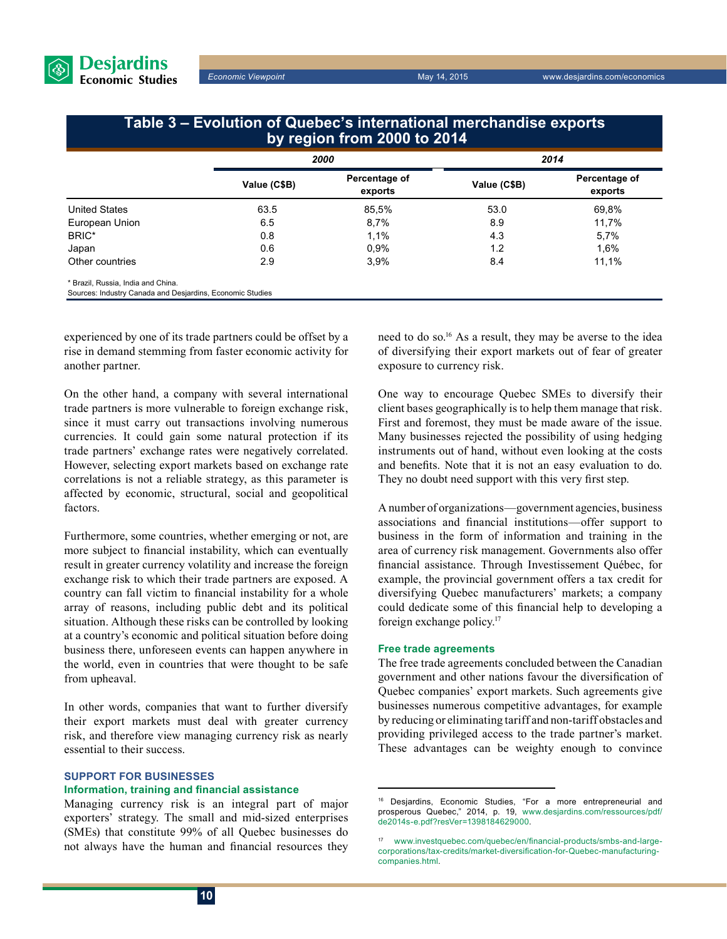

**Economic Viewpoint** May 14, 2015 www.desjardins.com/economics

## **Table 3 – Evolution of Quebec's international merchandise exports by region from 2000 to 2014**

|                                    |              | 2000                     |              | 2014                     |  |
|------------------------------------|--------------|--------------------------|--------------|--------------------------|--|
|                                    | Value (C\$B) | Percentage of<br>exports | Value (C\$B) | Percentage of<br>exports |  |
| <b>United States</b>               | 63.5         | 85,5%                    | 53.0         | 69,8%                    |  |
| European Union                     | 6.5          | 8,7%                     | 8.9          | 11,7%                    |  |
| BRIC*                              | 0.8          | 1,1%                     | 4.3          | 5,7%                     |  |
| Japan                              | 0.6          | 0,9%                     | 1.2          | 1,6%                     |  |
| Other countries                    | 2.9          | 3.9%                     | 8.4          | 11,1%                    |  |
| * Brazil, Russia, India and China. |              |                          |              |                          |  |

Sources: Industry Canada and Desjardins, Economic Studies

experienced by one of its trade partners could be offset by a rise in demand stemming from faster economic activity for another partner.

On the other hand, a company with several international trade partners is more vulnerable to foreign exchange risk, since it must carry out transactions involving numerous currencies. It could gain some natural protection if its trade partners' exchange rates were negatively correlated. However, selecting export markets based on exchange rate correlations is not a reliable strategy, as this parameter is affected by economic, structural, social and geopolitical factors.

Furthermore, some countries, whether emerging or not, are more subject to financial instability, which can eventually result in greater currency volatility and increase the foreign exchange risk to which their trade partners are exposed. A country can fall victim to financial instability for a whole array of reasons, including public debt and its political situation. Although these risks can be controlled by looking at a country's economic and political situation before doing business there, unforeseen events can happen anywhere in the world, even in countries that were thought to be safe from upheaval.

In other words, companies that want to further diversify their export markets must deal with greater currency risk, and therefore view managing currency risk as nearly essential to their success.

#### **Support for businesses**

#### **Information, training and financial assistance**

Managing currency risk is an integral part of major exporters' strategy. The small and mid-sized enterprises (SMEs) that constitute 99% of all Quebec businesses do not always have the human and financial resources they need to do so.<sup>16</sup> As a result, they may be averse to the idea of diversifying their export markets out of fear of greater exposure to currency risk.

One way to encourage Quebec SMEs to diversify their client bases geographically is to help them manage that risk. First and foremost, they must be made aware of the issue. Many businesses rejected the possibility of using hedging instruments out of hand, without even looking at the costs and benefits. Note that it is not an easy evaluation to do. They no doubt need support with this very first step.

A number of organizations—government agencies, business associations and financial institutions—offer support to business in the form of information and training in the area of currency risk management. Governments also offer financial assistance. Through Investissement Québec, for example, the provincial government offers a tax credit for diversifying Quebec manufacturers' markets; a company could dedicate some of this financial help to developing a foreign exchange policy.<sup>17</sup>

#### **Free trade agreements**

The free trade agreements concluded between the Canadian government and other nations favour the diversification of Quebec companies' export markets. Such agreements give businesses numerous competitive advantages, for example by reducing or eliminating tariff and non-tariff obstacles and providing privileged access to the trade partner's market. These advantages can be weighty enough to convince

<sup>16</sup> Desjardins, Economic Studies, "For a more entrepreneurial and prosperous Quebec," 2014, p. 19, [www.desjardins.com/ressources/pdf/](http://www.desjardins.com/ressources/pdf/de2014s-e.pdf?resVer=1398184629000) [de2014s-e.pdf?resVer=1398184629000.](http://www.desjardins.com/ressources/pdf/de2014s-e.pdf?resVer=1398184629000)

<sup>17</sup> [www.investquebec.com/quebec/en/financial-products/smbs-and-large](http://www.investquebec.com/quebec/en/financial-products/smbs-and-large-corporations/tax-credits/market-diversification-for-Quebec-manufacturing-companies.html)[corporations/tax-credits/market-diversification-for-Quebec-manufacturing](http://www.investquebec.com/quebec/en/financial-products/smbs-and-large-corporations/tax-credits/market-diversification-for-Quebec-manufacturing-companies.html)[companies.html](http://www.investquebec.com/quebec/en/financial-products/smbs-and-large-corporations/tax-credits/market-diversification-for-Quebec-manufacturing-companies.html).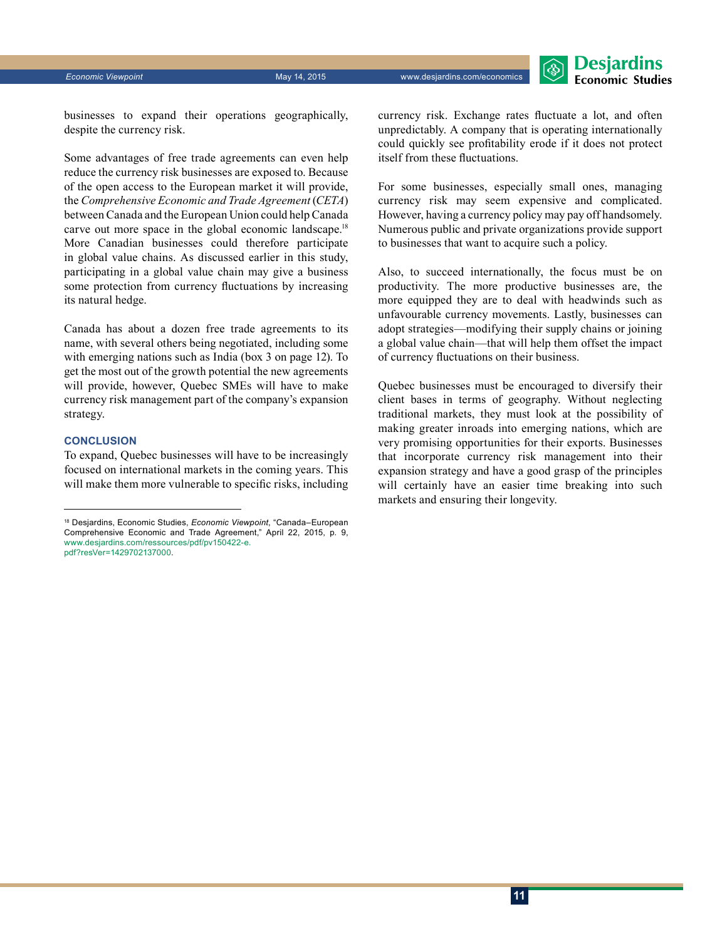#### *Economic Viewpoint* May 14, 2015 www.desjardins.com/economics



businesses to expand their operations geographically, despite the currency risk.

Some advantages of free trade agreements can even help reduce the currency risk businesses are exposed to. Because of the open access to the European market it will provide, the *Comprehensive Economic and Trade Agreement* (*CETA*) between Canada and the European Union could help Canada carve out more space in the global economic landscape.<sup>18</sup> More Canadian businesses could therefore participate in global value chains. As discussed earlier in this study, participating in a global value chain may give a business some protection from currency fluctuations by increasing its natural hedge.

Canada has about a dozen free trade agreements to its name, with several others being negotiated, including some with emerging nations such as India (box 3 on page 12). To get the most out of the growth potential the new agreements will provide, however, Quebec SMEs will have to make currency risk management part of the company's expansion strategy.

#### **Conclusion**

To expand, Quebec businesses will have to be increasingly focused on international markets in the coming years. This will make them more vulnerable to specific risks, including currency risk. Exchange rates fluctuate a lot, and often unpredictably. A company that is operating internationally could quickly see profitability erode if it does not protect itself from these fluctuations.

For some businesses, especially small ones, managing currency risk may seem expensive and complicated. However, having a currency policy may pay off handsomely. Numerous public and private organizations provide support to businesses that want to acquire such a policy.

Also, to succeed internationally, the focus must be on productivity. The more productive businesses are, the more equipped they are to deal with headwinds such as unfavourable currency movements. Lastly, businesses can adopt strategies—modifying their supply chains or joining a global value chain—that will help them offset the impact of currency fluctuations on their business.

Quebec businesses must be encouraged to diversify their client bases in terms of geography. Without neglecting traditional markets, they must look at the possibility of making greater inroads into emerging nations, which are very promising opportunities for their exports. Businesses that incorporate currency risk management into their expansion strategy and have a good grasp of the principles will certainly have an easier time breaking into such markets and ensuring their longevity.

<sup>18</sup> Desjardins, Economic Studies, *Economic Viewpoint*, "Canada–European Comprehensive Economic and Trade Agreement," April 22, 2015, p. 9, [www.desjardins.com/ressources/pdf/pv150422-e.](http://www.desjardins.com/ressources/pdf/pv150422-e.pdf?resVer=1429702137000) [pdf?resVer=1429702137000](http://www.desjardins.com/ressources/pdf/pv150422-e.pdf?resVer=1429702137000).